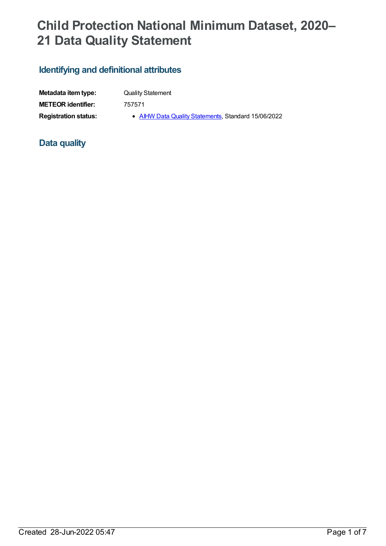# **Child Protection National Minimum Dataset, 2020– 21 Data Quality Statement**

# **Identifying and definitional attributes**

| Metadata item type:         | <b>Quality Statement</b> |
|-----------------------------|--------------------------|
| <b>METEOR identifier:</b>   | 757571                   |
| <b>Registration status:</b> | • AIHW Data (            |

**Registration status: • AIHW Data Quality [Statements](https://meteor.aihw.gov.au/RegistrationAuthority/5)**, Standard 15/06/2022

# **Data quality**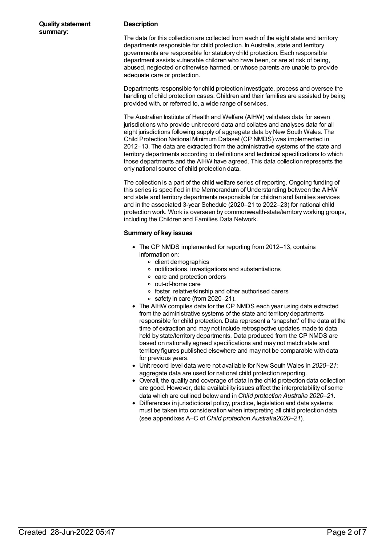#### **Description**

The data for this collection are collected from each of the eight state and territory departments responsible for child protection. In Australia, state and territory governments are responsible for statutory child protection. Each responsible department assists vulnerable children who have been, or are at risk of being, abused, neglected or otherwise harmed, or whose parents are unable to provide adequate care or protection.

Departments responsible for child protection investigate, process and oversee the handling of child protection cases. Children and their families are assisted by being provided with, or referred to, a wide range of services.

The Australian Institute of Health and Welfare (AIHW) validates data for seven jurisdictions who provide unit record data and collates and analyses data for all eight jurisdictions following supply of aggregate data by New South Wales. The Child Protection National Minimum Dataset (CP NMDS) was implemented in 2012–13. The data are extracted from the administrative systems of the state and territory departments according to definitions and technical specifications to which those departments and the AIHW have agreed. This data collection represents the only national source of child protection data.

The collection is a part of the child welfare series of reporting. Ongoing funding of this series is specified in the Memorandum of Understanding between the AIHW and state and territory departments responsible for children and families services and in the associated 3-year Schedule (2020–21 to 2022–23) for national child protection work. Work is overseen by commonwealth-state/territory working groups, including the Children and Families Data Network.

#### **Summary of key issues**

- The CP NMDS implemented for reporting from 2012–13, contains information on:
	- o client demographics
	- notifications, investigations and substantiations
	- care and protection orders
	- out-of-home care
	- foster, relative/kinship and other authorised carers
	- $\circ$  safety in care (from 2020–21).
- The AIHW compiles data for the CP NMDS each year using data extracted from the administrative systems of the state and territory departments responsible for child protection. Data represent a 'snapshot' of the data at the time of extraction and may not include retrospective updates made to data held by state/territory departments. Data produced from the CP NMDS are based on nationally agreed specifications and may not match state and territory figures published elsewhere and may not be comparable with data for previous years.
- Unit record level data were not available for New South Wales in *2020–21*; aggregate data are used for national child protection reporting.
- Overall, the quality and coverage of data in the child protection data collection are good. However, data availability issues affect the interpretability of some data which are outlined below and in *Child protection Australia 2020–21*.
- Differences in jurisdictional policy, practice, legislation and data systems must be taken into consideration when interpreting all child protection data (see appendixes A–C of *Child protection Australia2020–21*).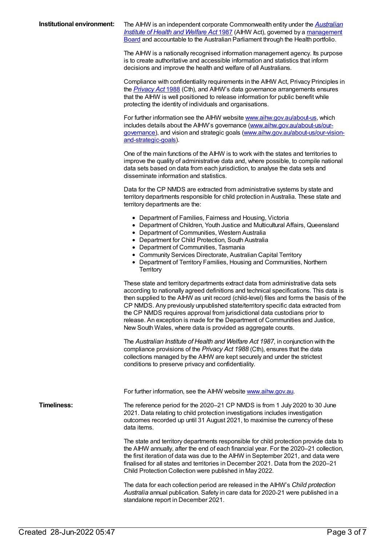**Institutional environment:** The AIHW is an independent corporate [Commonwealth](https://www.legislation.gov.au/Details/C2021C00452) entity under the *Australian Institute of Health and Welfare Act* 1987 (AIHW Act), governed by a [management](http://www.aihw.gov.au/aihw-board/) Board and accountable to the Australian Parliament through the Health portfolio.

> The AIHW is a nationally recognised information management agency. Its purpose is to create authoritative and accessible information and statistics that inform decisions and improve the health and welfare of all Australians.

> Compliance with confidentiality requirements in the AIHW Act, Privacy Principles in the *[Privacy](https://www.legislation.gov.au/Details/C2021C00452) Act* 1988 (Cth), and AIHW's data governance arrangements ensures that the AIHW is well positioned to release information for public benefit while protecting the identity of individuals and organisations.

> For further information see the AIHW website [www.aihw.gov.au/about-us](https://www.aihw.gov.au/about-us), which includes details about the AIHW's governance [\(www.aihw.gov.au/about-us/our](https://www.aihw.gov.au/about-us/our-governance)governance), and vision and strategic goals [\(www.aihw.gov.au/about-us/our-vision](https://www.aihw.gov.au/about-us/our-vision-and-strategic-goals)and-strategic-goals).

> One of the main functions of the AIHW is to work with the states and territories to improve the quality of administrative data and, where possible, to compile national data sets based on data from each jurisdiction, to analyse the data sets and disseminate information and statistics.

> Data for the CP NMDS are extracted from administrative systems by state and territory departments responsible for child protection in Australia. These state and territory departments are the:

- Department of Families, Fairness and Housing, Victoria
- Department of Children, Youth Justice and Multicultural Affairs, Queensland
	- Department of Communities, Western Australia
	- Department for Child Protection, South Australia
	- Department of Communities, Tasmania
	- Community Services Directorate, Australian Capital Territory
	- Department of Territory Families, Housing and Communities, Northern **Territory**

These state and territory departments extract data from administrative data sets according to nationally agreed definitions and technical specifications. This data is then supplied to the AIHW as unit record (child-level) files and forms the basis of the CP NMDS. Any previously unpublished state/territory specific data extracted from the CP NMDS requires approval from jurisdictional data custodians prior to release. An exception is made for the Department of Communities and Justice, New South Wales, where data is provided as aggregate counts.

The *Australian Institute of Health and Welfare Act 1987*, in conjunction with the compliance provisions of the *Privacy Act 1988* (Cth), ensures that the data collections managed by the AIHW are kept securely and under the strictest conditions to preserve privacy and confidentiality.

For further information, see the AIHW website [www.aihw.gov.au](http://www.aihw.gov.au).

**Timeliness:** The reference period for the 2020–21 CP NMDS is from 1 July 2020 to 30 June 2021. Data relating to child protection investigations includes investigation outcomes recorded up until 31 August 2021, to maximise the currency of these data items.

> The state and territory departments responsible for child protection provide data to the AIHW annually, after the end of each financial year. For the 2020–21 collection, the first iteration of data was due to the AIHW in September 2021, and data were finalised for all states and territories in December 2021. Data from the 2020–21 Child Protection Collection were published in May 2022.

The data for each collection period are released in the AIHW's *Child protection Australia* annual publication. Safety in care data for 2020-21 were published in a standalone report in December 2021.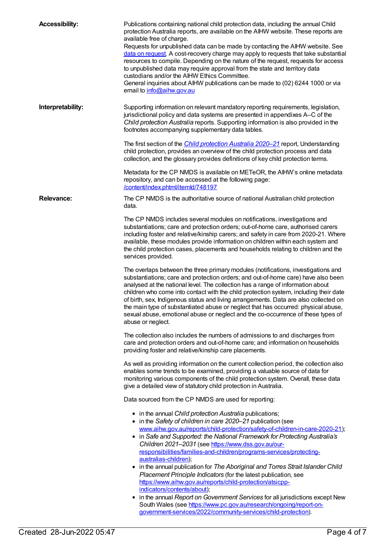| <b>Accessibility:</b>                                 | Publications containing national child protection data, including the annual Child<br>protection Australia reports, are available on the AIHW website. These reports are<br>available free of charge.<br>Requests for unpublished data can be made by contacting the AIHW website. See<br>data on request. A cost-recovery charge may apply to requests that take substantial<br>resources to compile. Depending on the nature of the request, requests for access<br>to unpublished data may require approval from the state and territory data<br>custodians and/or the AIHW Ethics Committee.<br>General inquiries about AIHW publications can be made to (02) 6244 1000 or via<br>email to info@aihw.gov.au |  |
|-------------------------------------------------------|-----------------------------------------------------------------------------------------------------------------------------------------------------------------------------------------------------------------------------------------------------------------------------------------------------------------------------------------------------------------------------------------------------------------------------------------------------------------------------------------------------------------------------------------------------------------------------------------------------------------------------------------------------------------------------------------------------------------|--|
| Interpretability:                                     | Supporting information on relevant mandatory reporting requirements, legislation,<br>jurisdictional policy and data systems are presented in appendixes A-C of the<br>Child protection Australia reports. Supporting information is also provided in the<br>footnotes accompanying supplementary data tables.                                                                                                                                                                                                                                                                                                                                                                                                   |  |
|                                                       | The first section of the <i>Child protection Australia 2020-21</i> report, Understanding<br>child protection, provides an overview of the child protection process and data<br>collection, and the glossary provides definitions of key child protection terms.                                                                                                                                                                                                                                                                                                                                                                                                                                                 |  |
|                                                       | Metadata for the CP NMDS is available on METeOR, the AIHW's online metadata<br>repository, and can be accessed at the following page:<br>/content/index.phtml/itemld/748197                                                                                                                                                                                                                                                                                                                                                                                                                                                                                                                                     |  |
| <b>Relevance:</b>                                     | The CP NMDS is the authoritative source of national Australian child protection<br>data.                                                                                                                                                                                                                                                                                                                                                                                                                                                                                                                                                                                                                        |  |
|                                                       | The CP NMDS includes several modules on notifications, investigations and<br>substantiations; care and protection orders; out-of-home care, authorised carers<br>including foster and relative/kinship carers; and safety in care from 2020-21. Where<br>available, these modules provide information on children within each system and<br>the child protection cases, placements and households relating to children and the<br>services provided.                                                                                                                                                                                                                                                            |  |
|                                                       | The overlaps between the three primary modules (notifications, investigations and<br>substantiations; care and protection orders; and out-of-home care) have also been<br>analysed at the national level. The collection has a range of information about<br>children who come into contact with the child protection system, including their date<br>of birth, sex, Indigenous status and living arrangements. Data are also collected on<br>the main type of substantiated abuse or neglect that has occurred: physical abuse,<br>sexual abuse, emotional abuse or neglect and the co-occurrence of these types of<br>abuse or neglect.                                                                       |  |
|                                                       | The collection also includes the numbers of admissions to and discharges from<br>care and protection orders and out-of-home care; and information on households<br>providing foster and relative/kinship care placements.                                                                                                                                                                                                                                                                                                                                                                                                                                                                                       |  |
|                                                       | As well as providing information on the current collection period, the collection also<br>enables some trends to be examined, providing a valuable source of data for<br>monitoring various components of the child protection system. Overall, these data<br>give a detailed view of statutory child protection in Australia.                                                                                                                                                                                                                                                                                                                                                                                  |  |
| Data sourced from the CP NMDS are used for reporting: |                                                                                                                                                                                                                                                                                                                                                                                                                                                                                                                                                                                                                                                                                                                 |  |
|                                                       | • in the annual Child protection Australia publications;<br>• in the Safety of children in care 2020-21 publication (see                                                                                                                                                                                                                                                                                                                                                                                                                                                                                                                                                                                        |  |
|                                                       | www.aihw.gov.au/reports/child-protection/safety-of-children-in-care-2020-21);                                                                                                                                                                                                                                                                                                                                                                                                                                                                                                                                                                                                                                   |  |
|                                                       | • in Safe and Supported: the National Framework for Protecting Australia's<br>Children 2021-2031 (see https://www.dss.gov.au/our-                                                                                                                                                                                                                                                                                                                                                                                                                                                                                                                                                                               |  |
|                                                       | responsibilities/families-and-children/programs-services/protecting-<br>australias-children);                                                                                                                                                                                                                                                                                                                                                                                                                                                                                                                                                                                                                   |  |
|                                                       | • in the annual publication for The Aboriginal and Torres Strait Islander Child<br>Placement Principle Indicators (for the latest publication, see                                                                                                                                                                                                                                                                                                                                                                                                                                                                                                                                                              |  |
|                                                       | https://www.aihw.gov.au/reports/child-protection/atsicpp-                                                                                                                                                                                                                                                                                                                                                                                                                                                                                                                                                                                                                                                       |  |
|                                                       | indicators/contents/about);<br>in the annual Report on Government Services for all jurisdictions except New<br>٠                                                                                                                                                                                                                                                                                                                                                                                                                                                                                                                                                                                                |  |
|                                                       | South Wales (see https://www.pc.gov.au/research/ongoing/report-on-<br>government-services/2022/community-services/child-protection).                                                                                                                                                                                                                                                                                                                                                                                                                                                                                                                                                                            |  |
|                                                       |                                                                                                                                                                                                                                                                                                                                                                                                                                                                                                                                                                                                                                                                                                                 |  |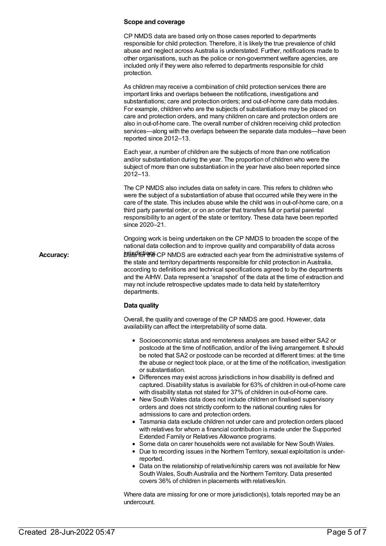#### **Scope and coverage**

CP NMDS data are based only on those cases reported to departments responsible for child protection. Therefore, it is likely the true prevalence of child abuse and neglect across Australia is understated. Further, notifications made to other organisations, such as the police or non-government welfare agencies, are included only if they were also referred to departments responsible for child protection.

As children may receive a combination of child protection services there are important links and overlaps between the notifications, investigations and substantiations; care and protection orders; and out-of-home care data modules. For example, children who are the subjects of substantiations may be placed on care and protection orders, and many children on care and protection orders are also in out-of-home care. The overall number of children receiving child protection services—along with the overlaps between the separate data modules—have been reported since 2012–13.

Each year, a number of children are the subjects of more than one notification and/or substantiation during the year. The proportion of children who were the subject of more than one substantiation in the year have also been reported since 2012–13.

The CP NMDS also includes data on safety in care. This refers to children who were the subject of a substantiation of abuse that occurred while they were in the care of the state. This includes abuse while the child was in out-of-home care, on a third party parental order, or on an order that transfers full or partial parental responsibility to an agent of the state or territory. These data have been reported since 2020–21.

Ongoing work is being undertaken on the CP NMDS to broaden the scope of the national data collection and to improve quality and comparability of data across Accuracy: Deterministrative systems of **Data for the CP NMDS** are extracted each year from the administrative systems of the state and territory departments responsible for child protection in Australia, according to definitions and technical specifications agreed to by the departments and the AIHW. Data represent a 'snapshot' of the data at the time of extraction and may not include retrospective updates made to data held by state/territory departments.

#### **Data quality**

Overall, the quality and coverage of the CP NMDS are good. However, data availability can affect the interpretability of some data.

- Socioeconomic status and remoteness analyses are based either SA2 or postcode at the time of notification, and/or of the living arrangement. It should be noted that SA2 or postcode can be recorded at different times: at the time the abuse or neglect took place, or at the time of the notification, investigation or substantiation.
- Differences may exist across jurisdictions in how disability is defined and captured. Disability status is available for 63% of children in out-of-home care with disability status not stated for 37% of children in out-of-home care.
- New South Wales data does not include children on finalised supervisory orders and does not strictly conform to the national counting rules for admissions to care and protection orders.
- Tasmania data exclude children not under care and protection orders placed with relatives for whom a financial contribution is made under the Supported Extended Family or Relatives Allowance programs.
- Some data on carer households were not available for New South Wales.
- Due to recording issues in the Northern Territory, sexual exploitation is underreported.
- Data on the relationship of relative/kinship carers was not available for New South Wales, South Australia and the Northern Territory. Data presented covers 36% of children in placements with relatives/kin.

Where data are missing for one or more jurisdiction(s), totals reported may be an undercount.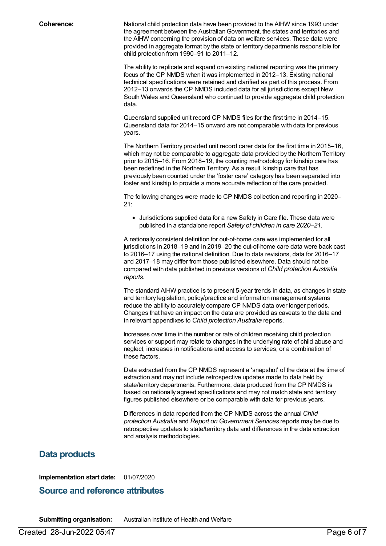**Coherence:** National child protection data have been provided to the AIHW since 1993 under the agreement between the AustralianGovernment, the states and territories and the AIHW concerning the provision of data on welfare services. These data were provided in aggregate format by the state or territory departments responsible for child protection from 1990–91 to 2011–12.

> The ability to replicate and expand on existing national reporting was the primary focus of the CP NMDS when it was implemented in 2012–13. Existing national technical specifications were retained and clarified as part of this process. From 2012–13 onwards the CP NMDS included data for all jurisdictions except New South Wales and Queensland who continued to provide aggregate child protection data.

Queensland supplied unit record CP NMDS files for the first time in 2014–15. Queensland data for 2014–15 onward are not comparable with data for previous years.

The Northern Territory provided unit record carer data for the first time in 2015–16, which may not be comparable to aggregate data provided by the Northern Territory prior to 2015–16. From 2018–19, the counting methodology for kinship care has been redefined in the Northern Territory. As a result, kinship care that has previously been counted under the 'foster care' category has been separated into foster and kinship to provide a more accurate reflection of the care provided.

The following changes were made to CP NMDS collection and reporting in 2020–  $21$ 

• Jurisdictions supplied data for a new Safety in Care file. These data were published in a standalone report *Safety of children in care 2020–21*.

A nationally consistent definition for out-of-home care was implemented for all jurisdictions in 2018–19 and in 2019–20 the out-of-home care data were back cast to 2016–17 using the national definition. Due to data revisions, data for 2016–17 and 2017–18 may differ from those published elsewhere. Data should not be compared with data published in previous versions of *Child protection Australia reports*.

The standard AIHW practice is to present 5-year trends in data, as changes in state and territory legislation, policy/practice and information management systems reduce the ability to accurately compare CP NMDS data over longer periods. Changes that have an impact on the data are provided as caveats to the data and in relevant appendixes to *Child protection Australia* reports.

Increases over time in the number or rate of children receiving child protection services or support may relate to changes in the underlying rate of child abuse and neglect, increases in notifications and access to services, or a combination of these factors.

Data extracted from the CP NMDS represent a 'snapshot' of the data at the time of extraction and may not include retrospective updates made to data held by state/territory departments. Furthermore, data produced from the CP NMDS is based on nationally agreed specifications and may not match state and territory figures published elsewhere or be comparable with data for previous years.

Differences in data reported from the CP NMDS across the annual *Child protection Australia* and *Report on Government Services* reports may be due to retrospective updates to state/territory data and differences in the data extraction and analysis methodologies.

## **Data products**

**Implementation start date:** 01/07/2020

### **Source and reference attributes**

**Submitting organisation:** Australian Institute of Health and Welfare